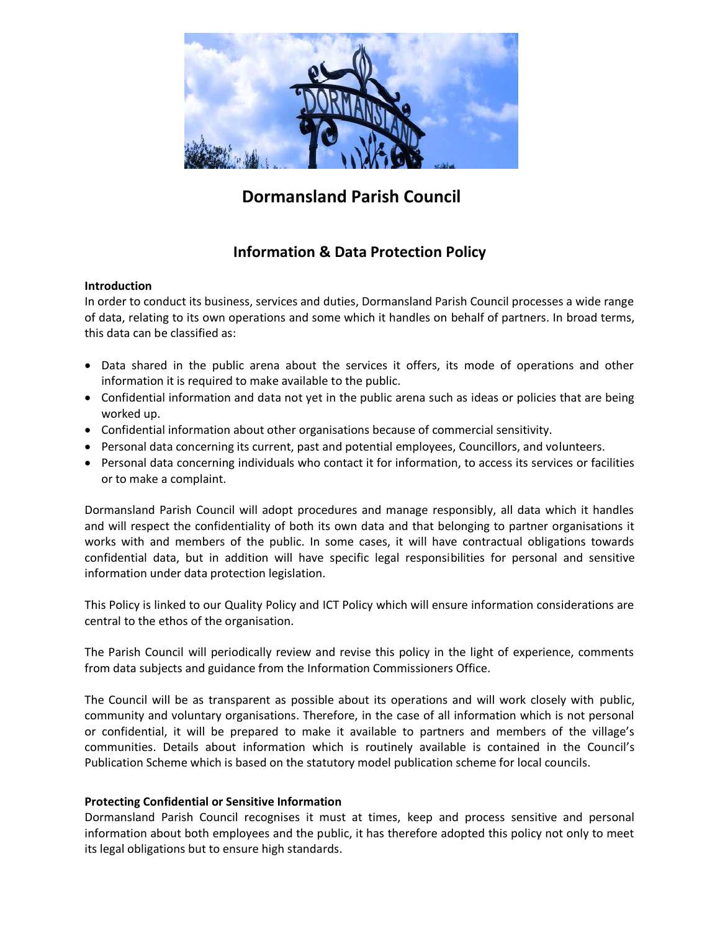

# **Dormansland Parish Council**

## **Information & Data Protection Policy**

## **Introduction**

In order to conduct its business, services and duties, Dormansland Parish Council processes a wide range of data, relating to its own operations and some which it handles on behalf of partners. In broad terms, this data can be classified as:

- Data shared in the public arena about the services it offers, its mode of operations and other information it is required to make available to the public.
- Confidential information and data not yet in the public arena such as ideas or policies that are being worked up.
- Confidential information about other organisations because of commercial sensitivity.
- Personal data concerning its current, past and potential employees, Councillors, and volunteers.
- Personal data concerning individuals who contact it for information, to access its services or facilities or to make a complaint.

Dormansland Parish Council will adopt procedures and manage responsibly, all data which it handles and will respect the confidentiality of both its own data and that belonging to partner organisations it works with and members of the public. In some cases, it will have contractual obligations towards confidential data, but in addition will have specific legal responsibilities for personal and sensitive information under data protection legislation.

This Policy is linked to our Quality Policy and ICT Policy which will ensure information considerations are central to the ethos of the organisation.

The Parish Council will periodically review and revise this policy in the light of experience, comments from data subjects and guidance from the Information Commissioners Office.

The Council will be as transparent as possible about its operations and will work closely with public, community and voluntary organisations. Therefore, in the case of all information which is not personal or confidential, it will be prepared to make it available to partners and members of the village's communities. Details about information which is routinely available is contained in the Council's Publication Scheme which is based on the statutory model publication scheme for local councils.

## **Protecting Confidential or Sensitive Information**

Dormansland Parish Council recognises it must at times, keep and process sensitive and personal information about both employees and the public, it has therefore adopted this policy not only to meet its legal obligations but to ensure high standards.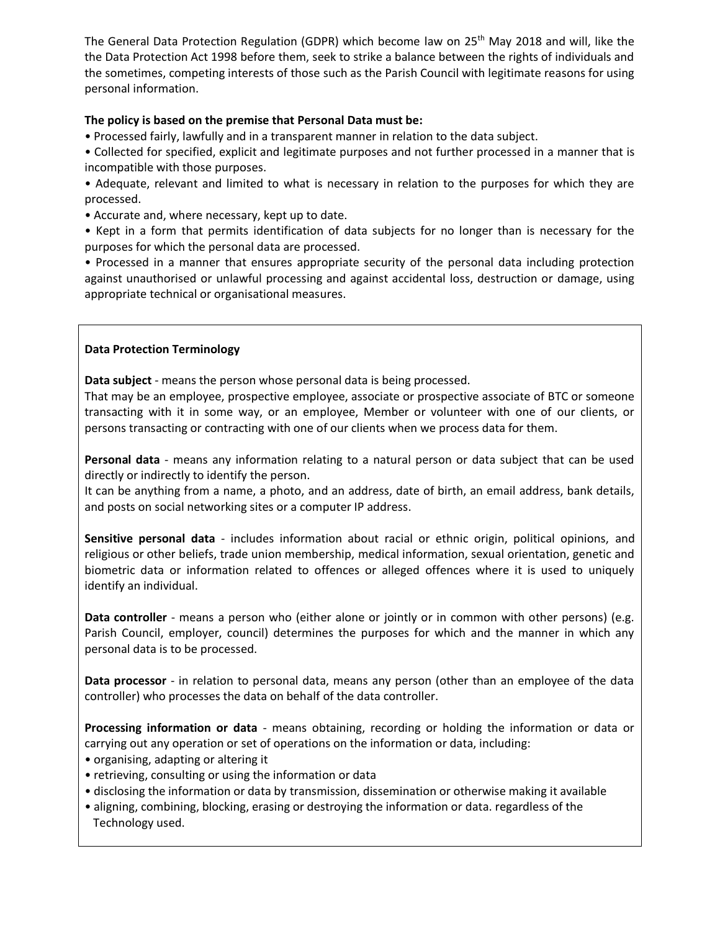The General Data Protection Regulation (GDPR) which become law on 25<sup>th</sup> May 2018 and will, like the the Data Protection Act 1998 before them, seek to strike a balance between the rights of individuals and the sometimes, competing interests of those such as the Parish Council with legitimate reasons for using personal information.

## **The policy is based on the premise that Personal Data must be:**

• Processed fairly, lawfully and in a transparent manner in relation to the data subject.

• Collected for specified, explicit and legitimate purposes and not further processed in a manner that is incompatible with those purposes.

• Adequate, relevant and limited to what is necessary in relation to the purposes for which they are processed.

• Accurate and, where necessary, kept up to date.

• Kept in a form that permits identification of data subjects for no longer than is necessary for the purposes for which the personal data are processed.

• Processed in a manner that ensures appropriate security of the personal data including protection against unauthorised or unlawful processing and against accidental loss, destruction or damage, using appropriate technical or organisational measures.

## **Data Protection Terminology**

**Data subject** - means the person whose personal data is being processed.

That may be an employee, prospective employee, associate or prospective associate of BTC or someone transacting with it in some way, or an employee, Member or volunteer with one of our clients, or persons transacting or contracting with one of our clients when we process data for them.

**Personal data** - means any information relating to a natural person or data subject that can be used directly or indirectly to identify the person.

It can be anything from a name, a photo, and an address, date of birth, an email address, bank details, and posts on social networking sites or a computer IP address.

**Sensitive personal data** - includes information about racial or ethnic origin, political opinions, and religious or other beliefs, trade union membership, medical information, sexual orientation, genetic and biometric data or information related to offences or alleged offences where it is used to uniquely identify an individual.

**Data controller** - means a person who (either alone or jointly or in common with other persons) (e.g. Parish Council, employer, council) determines the purposes for which and the manner in which any personal data is to be processed.

**Data processor** - in relation to personal data, means any person (other than an employee of the data controller) who processes the data on behalf of the data controller.

**Processing information or data** - means obtaining, recording or holding the information or data or carrying out any operation or set of operations on the information or data, including:

- organising, adapting or altering it
- retrieving, consulting or using the information or data
- disclosing the information or data by transmission, dissemination or otherwise making it available
- aligning, combining, blocking, erasing or destroying the information or data. regardless of the Technology used.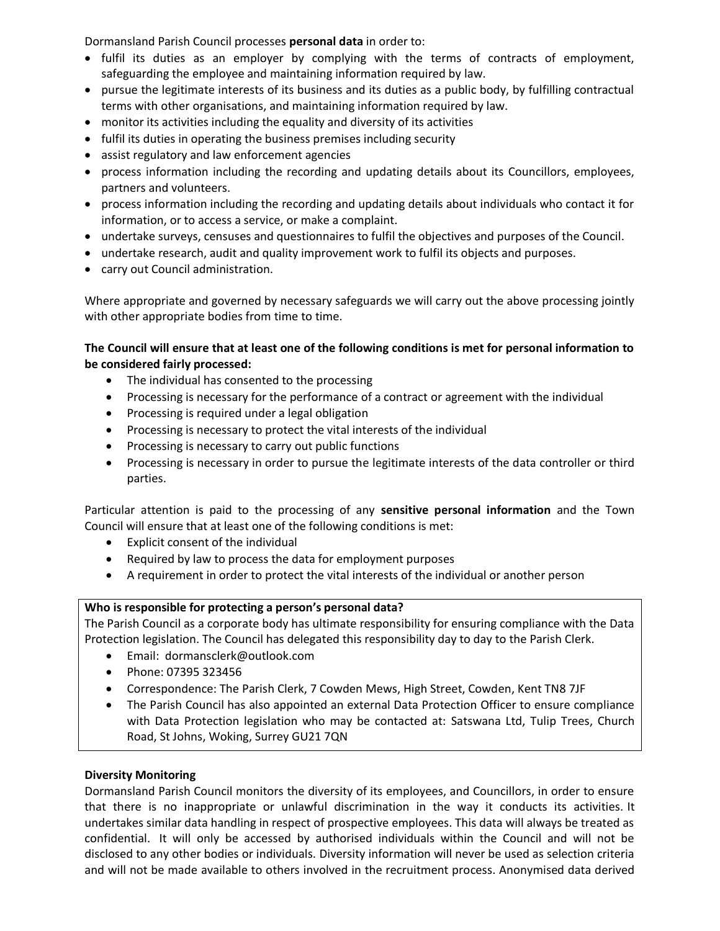Dormansland Parish Council processes **personal data** in order to:

- fulfil its duties as an employer by complying with the terms of contracts of employment, safeguarding the employee and maintaining information required by law.
- pursue the legitimate interests of its business and its duties as a public body, by fulfilling contractual terms with other organisations, and maintaining information required by law.
- monitor its activities including the equality and diversity of its activities
- fulfil its duties in operating the business premises including security
- assist regulatory and law enforcement agencies
- process information including the recording and updating details about its Councillors, employees, partners and volunteers.
- process information including the recording and updating details about individuals who contact it for information, or to access a service, or make a complaint.
- undertake surveys, censuses and questionnaires to fulfil the objectives and purposes of the Council.
- undertake research, audit and quality improvement work to fulfil its objects and purposes.
- carry out Council administration.

Where appropriate and governed by necessary safeguards we will carry out the above processing jointly with other appropriate bodies from time to time.

## **The Council will ensure that at least one of the following conditions is met for personal information to be considered fairly processed:**

- The individual has consented to the processing
- Processing is necessary for the performance of a contract or agreement with the individual
- Processing is required under a legal obligation
- Processing is necessary to protect the vital interests of the individual
- Processing is necessary to carry out public functions
- Processing is necessary in order to pursue the legitimate interests of the data controller or third parties.

Particular attention is paid to the processing of any **sensitive personal information** and the Town Council will ensure that at least one of the following conditions is met:

- Explicit consent of the individual
- Required by law to process the data for employment purposes
- A requirement in order to protect the vital interests of the individual or another person

## **Who is responsible for protecting a person's personal data?**

The Parish Council as a corporate body has ultimate responsibility for ensuring compliance with the Data Protection legislation. The Council has delegated this responsibility day to day to the Parish Clerk.

- Email: dormansclerk@outlook.com
- Phone: 07395 323456
- Correspondence: The Parish Clerk, 7 Cowden Mews, High Street, Cowden, Kent TN8 7JF
- The Parish Council has also appointed an external Data Protection Officer to ensure compliance with Data Protection legislation who may be contacted at: Satswana Ltd, Tulip Trees, Church Road, St Johns, Woking, Surrey GU21 7QN

## **Diversity Monitoring**

Dormansland Parish Council monitors the diversity of its employees, and Councillors, in order to ensure that there is no inappropriate or unlawful discrimination in the way it conducts its activities. It undertakes similar data handling in respect of prospective employees. This data will always be treated as confidential. It will only be accessed by authorised individuals within the Council and will not be disclosed to any other bodies or individuals. Diversity information will never be used as selection criteria and will not be made available to others involved in the recruitment process. Anonymised data derived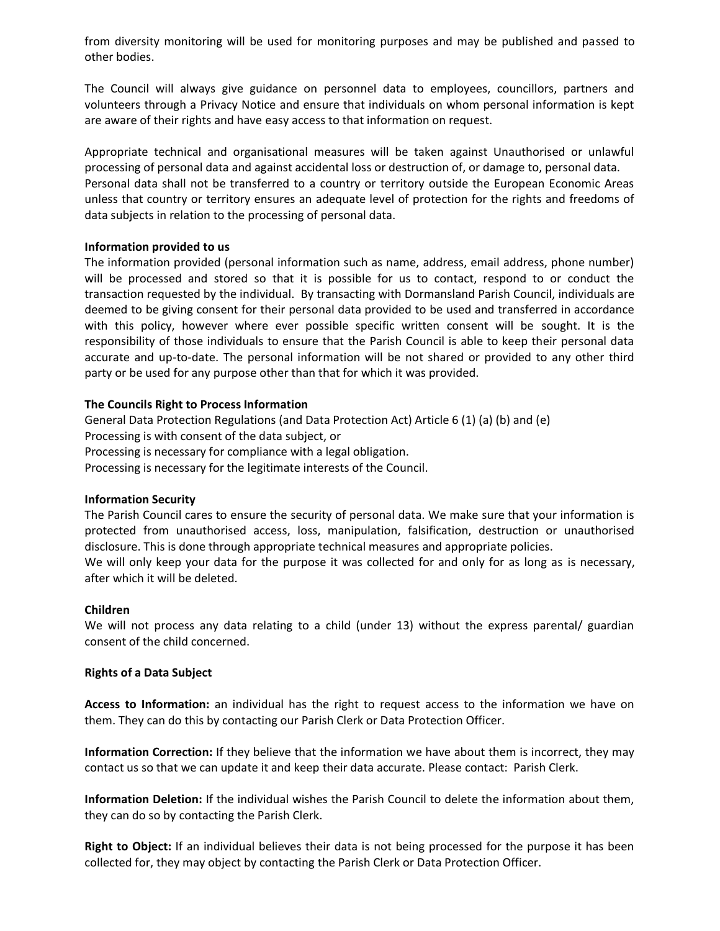from diversity monitoring will be used for monitoring purposes and may be published and passed to other bodies.

The Council will always give guidance on personnel data to employees, councillors, partners and volunteers through a Privacy Notice and ensure that individuals on whom personal information is kept are aware of their rights and have easy access to that information on request.

Appropriate technical and organisational measures will be taken against Unauthorised or unlawful processing of personal data and against accidental loss or destruction of, or damage to, personal data. Personal data shall not be transferred to a country or territory outside the European Economic Areas unless that country or territory ensures an adequate level of protection for the rights and freedoms of data subjects in relation to the processing of personal data.

#### **Information provided to us**

The information provided (personal information such as name, address, email address, phone number) will be processed and stored so that it is possible for us to contact, respond to or conduct the transaction requested by the individual. By transacting with Dormansland Parish Council, individuals are deemed to be giving consent for their personal data provided to be used and transferred in accordance with this policy, however where ever possible specific written consent will be sought. It is the responsibility of those individuals to ensure that the Parish Council is able to keep their personal data accurate and up-to-date. The personal information will be not shared or provided to any other third party or be used for any purpose other than that for which it was provided.

## **The Councils Right to Process Information**

General Data Protection Regulations (and Data Protection Act) Article 6 (1) (a) (b) and (e) Processing is with consent of the data subject, or Processing is necessary for compliance with a legal obligation. Processing is necessary for the legitimate interests of the Council.

#### **Information Security**

The Parish Council cares to ensure the security of personal data. We make sure that your information is protected from unauthorised access, loss, manipulation, falsification, destruction or unauthorised disclosure. This is done through appropriate technical measures and appropriate policies. We will only keep your data for the purpose it was collected for and only for as long as is necessary, after which it will be deleted.

#### **Children**

We will not process any data relating to a child (under 13) without the express parental/ guardian consent of the child concerned.

#### **Rights of a Data Subject**

**Access to Information:** an individual has the right to request access to the information we have on them. They can do this by contacting our Parish Clerk or Data Protection Officer.

**Information Correction:** If they believe that the information we have about them is incorrect, they may contact us so that we can update it and keep their data accurate. Please contact: Parish Clerk.

**Information Deletion:** If the individual wishes the Parish Council to delete the information about them, they can do so by contacting the Parish Clerk.

**Right to Object:** If an individual believes their data is not being processed for the purpose it has been collected for, they may object by contacting the Parish Clerk or Data Protection Officer.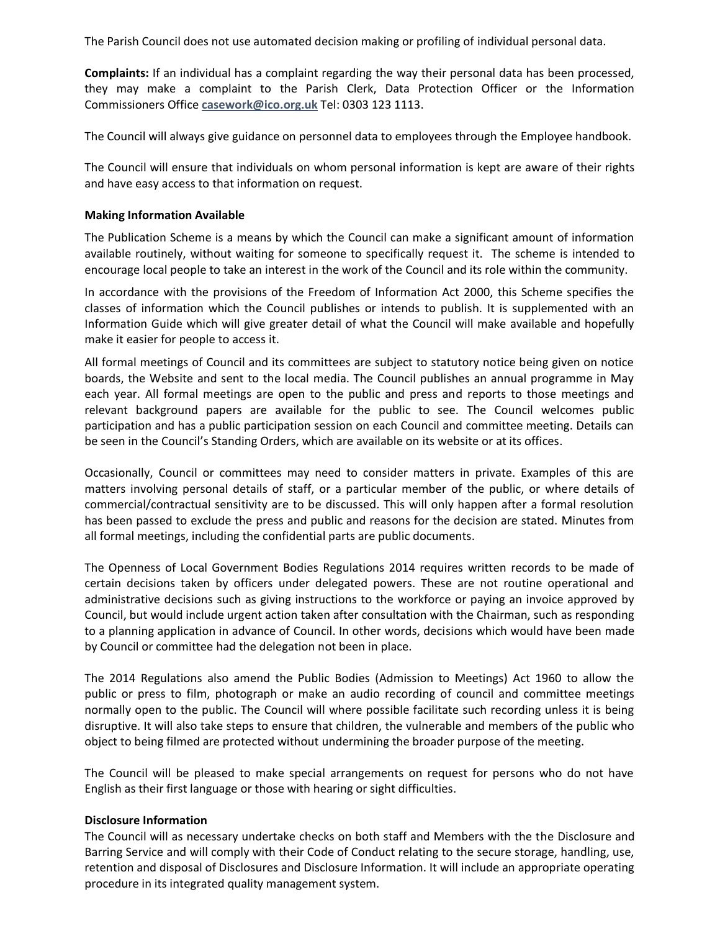The Parish Council does not use automated decision making or profiling of individual personal data.

**Complaints:** If an individual has a complaint regarding the way their personal data has been processed, they may make a complaint to the Parish Clerk, Data Protection Officer or the Information Commissioners Office **[casework@ico.org.uk](mailto:casework@ico.org.uk)** Tel: 0303 123 1113.

The Council will always give guidance on personnel data to employees through the Employee handbook.

The Council will ensure that individuals on whom personal information is kept are aware of their rights and have easy access to that information on request.

#### **Making Information Available**

The Publication Scheme is a means by which the Council can make a significant amount of information available routinely, without waiting for someone to specifically request it. The scheme is intended to encourage local people to take an interest in the work of the Council and its role within the community.

In accordance with the provisions of the Freedom of Information Act 2000, this Scheme specifies the classes of information which the Council publishes or intends to publish. It is supplemented with an Information Guide which will give greater detail of what the Council will make available and hopefully make it easier for people to access it.

All formal meetings of Council and its committees are subject to statutory notice being given on notice boards, the Website and sent to the local media. The Council publishes an annual programme in May each year. All formal meetings are open to the public and press and reports to those meetings and relevant background papers are available for the public to see. The Council welcomes public participation and has a public participation session on each Council and committee meeting. Details can be seen in the Council's Standing Orders, which are available on its website or at its offices.

Occasionally, Council or committees may need to consider matters in private. Examples of this are matters involving personal details of staff, or a particular member of the public, or where details of commercial/contractual sensitivity are to be discussed. This will only happen after a formal resolution has been passed to exclude the press and public and reasons for the decision are stated. Minutes from all formal meetings, including the confidential parts are public documents.

The Openness of Local Government Bodies Regulations 2014 requires written records to be made of certain decisions taken by officers under delegated powers. These are not routine operational and administrative decisions such as giving instructions to the workforce or paying an invoice approved by Council, but would include urgent action taken after consultation with the Chairman, such as responding to a planning application in advance of Council. In other words, decisions which would have been made by Council or committee had the delegation not been in place.

The 2014 Regulations also amend the Public Bodies (Admission to Meetings) Act 1960 to allow the public or press to film, photograph or make an audio recording of council and committee meetings normally open to the public. The Council will where possible facilitate such recording unless it is being disruptive. It will also take steps to ensure that children, the vulnerable and members of the public who object to being filmed are protected without undermining the broader purpose of the meeting.

The Council will be pleased to make special arrangements on request for persons who do not have English as their first language or those with hearing or sight difficulties.

#### **Disclosure Information**

The Council will as necessary undertake checks on both staff and Members with the the Disclosure and Barring Service and will comply with their Code of Conduct relating to the secure storage, handling, use, retention and disposal of Disclosures and Disclosure Information. It will include an appropriate operating procedure in its integrated quality management system.